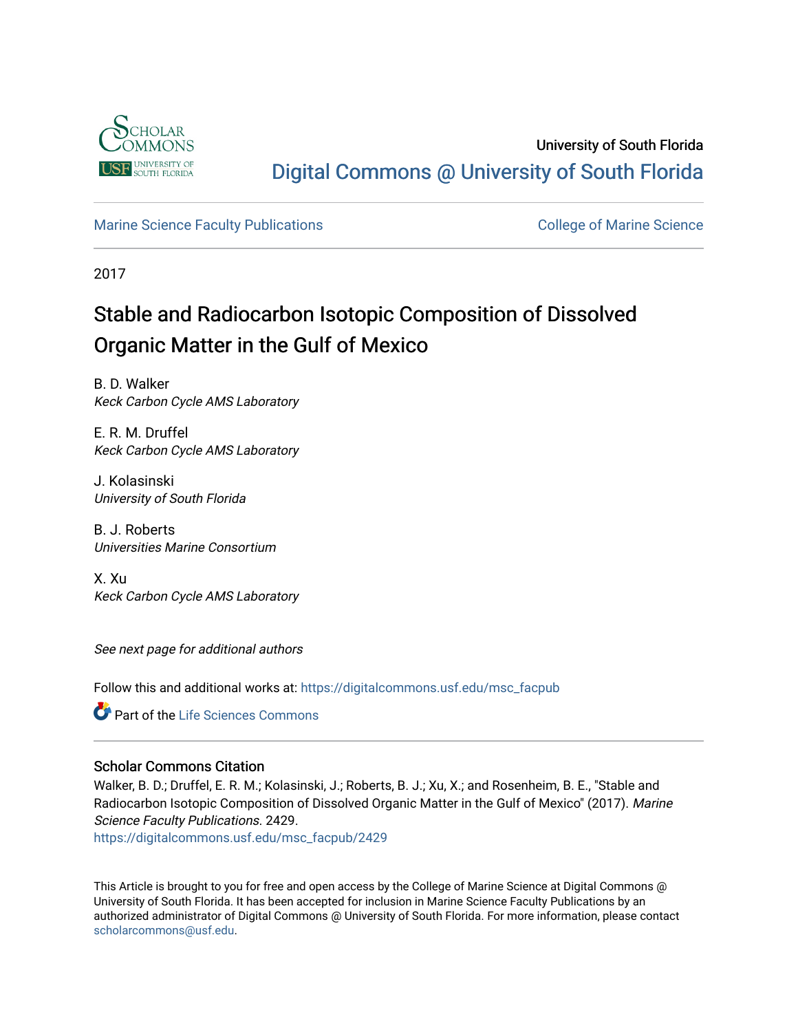

University of South Florida [Digital Commons @ University of South Florida](https://digitalcommons.usf.edu/) 

#### [Marine Science Faculty Publications](https://digitalcommons.usf.edu/msc_facpub) **College of Marine Science** College of Marine Science

2017

## Stable and Radiocarbon Isotopic Composition of Dissolved Organic Matter in the Gulf of Mexico

B. D. Walker Keck Carbon Cycle AMS Laboratory

E. R. M. Druffel Keck Carbon Cycle AMS Laboratory

J. Kolasinski University of South Florida

B. J. Roberts Universities Marine Consortium

X. Xu Keck Carbon Cycle AMS Laboratory

See next page for additional authors

Follow this and additional works at: [https://digitalcommons.usf.edu/msc\\_facpub](https://digitalcommons.usf.edu/msc_facpub?utm_source=digitalcommons.usf.edu%2Fmsc_facpub%2F2429&utm_medium=PDF&utm_campaign=PDFCoverPages) 

**Part of the Life Sciences Commons** 

#### Scholar Commons Citation

Walker, B. D.; Druffel, E. R. M.; Kolasinski, J.; Roberts, B. J.; Xu, X.; and Rosenheim, B. E., "Stable and Radiocarbon Isotopic Composition of Dissolved Organic Matter in the Gulf of Mexico" (2017). Marine Science Faculty Publications. 2429.

[https://digitalcommons.usf.edu/msc\\_facpub/2429](https://digitalcommons.usf.edu/msc_facpub/2429?utm_source=digitalcommons.usf.edu%2Fmsc_facpub%2F2429&utm_medium=PDF&utm_campaign=PDFCoverPages) 

This Article is brought to you for free and open access by the College of Marine Science at Digital Commons @ University of South Florida. It has been accepted for inclusion in Marine Science Faculty Publications by an authorized administrator of Digital Commons @ University of South Florida. For more information, please contact [scholarcommons@usf.edu.](mailto:scholarcommons@usf.edu)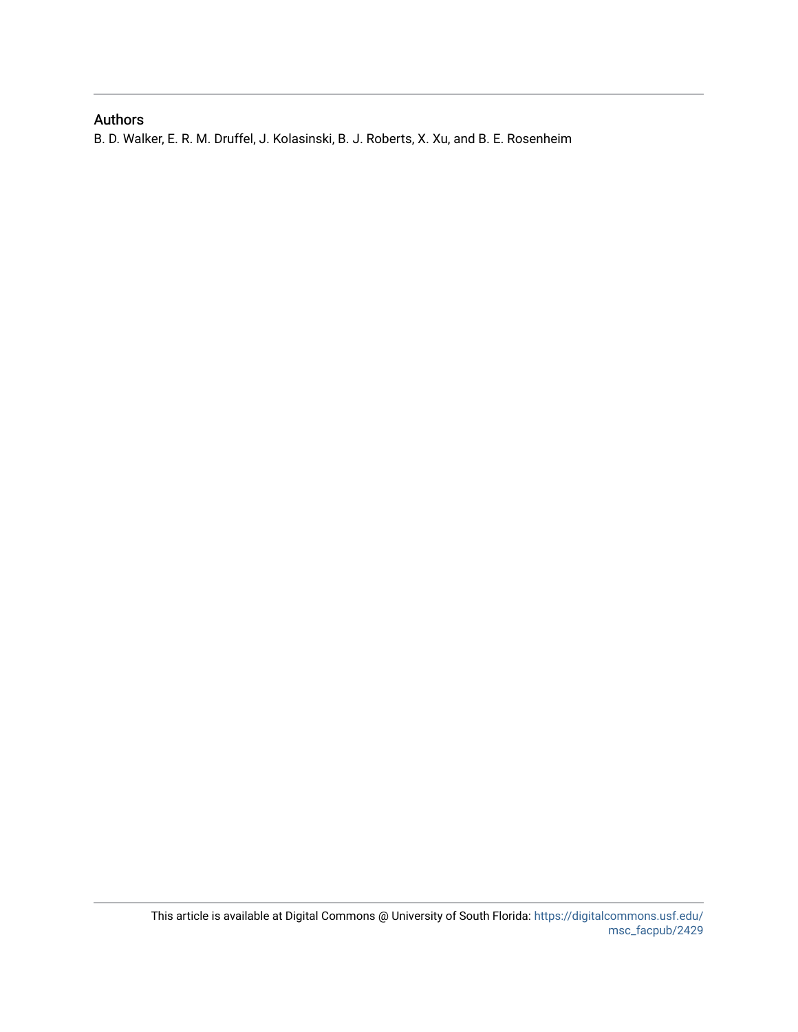### Authors

B. D. Walker, E. R. M. Druffel, J. Kolasinski, B. J. Roberts, X. Xu, and B. E. Rosenheim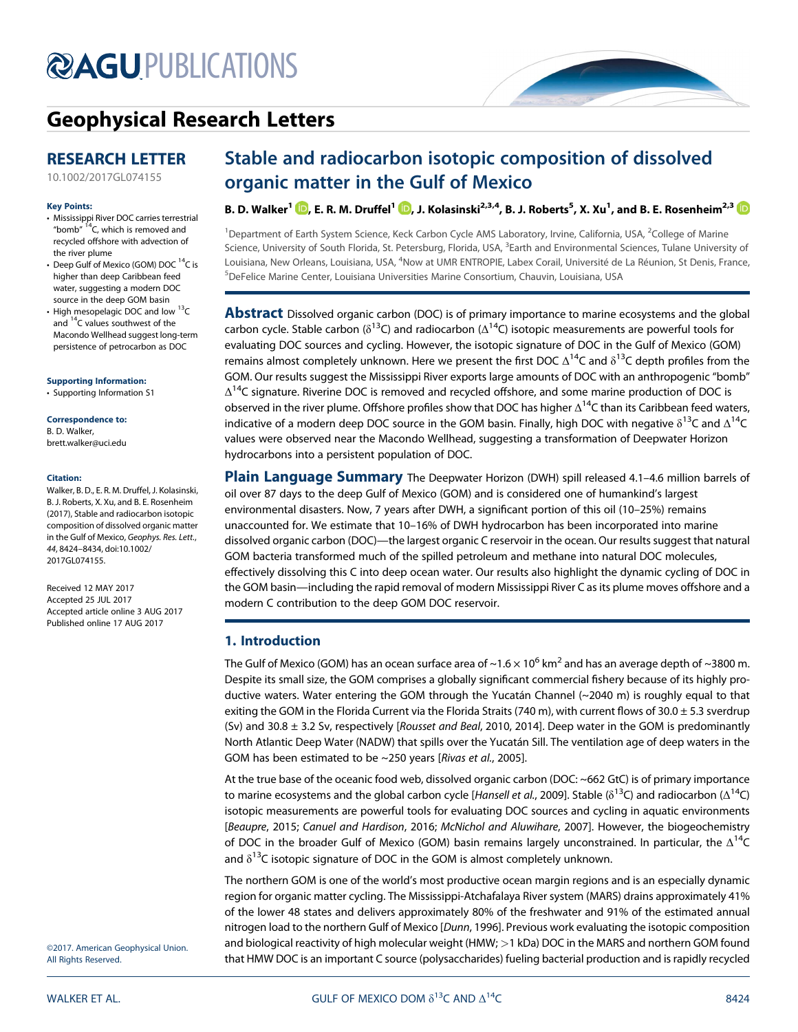# **@AGU[PUBLICATIONS](http://publications.agu.org/journals/)**



### [Geophysical Research Letters](http://onlinelibrary.wiley.com/journal/10.1002/(ISSN)1944-8007)

#### RESEARCH LETTER

[10.1002/2017GL074155](http://dx.doi.org/10.1002/2017GL074155)

#### Key Points:

- Mississippi River DOC carries terrestrial "bomb"  $14$ C, which is removed and recycled offshore with advection of the river plume
- Deep Gulf of Mexico (GOM) DOC<sup>14</sup>C is higher than deep Caribbean feed water, suggesting a modern DOC source in the deep GOM basin
- High mesopelagic DOC and low  $^{13}$ C and <sup>14</sup>C values southwest of the Macondo Wellhead suggest long-term persistence of petrocarbon as DOC

#### [Supporting Information:](http://dx.doi.org/10.1002/2017GL074155)

[•](http://dx.doi.org/10.1002/2017GL074155) [Supporting Information S1](http://dx.doi.org/10.1002/2017GL074155)

#### Correspondence to:

B. D. Walker, [brett.walker@uci.edu](mailto:brett.walker@uci.edu)

#### Citation:

Walker, B. D., E. R. M. Druffel, J. Kolasinski, B. J. Roberts, X. Xu, and B. E. Rosenheim (2017), Stable and radiocarbon isotopic composition of dissolved organic matter in the Gulf of Mexico, Geophys. Res. Lett., 44, 8424–8434, doi:10.1002/ 2017GL074155.

Received 12 MAY 2017 Accepted 25 JUL 2017 Accepted article online 3 AUG 2017 Published online 17 AUG 2017

### Stable and radiocarbon isotopic composition of dissolved organic matter in the Gulf of Mexico

B. D. Walker $^{1}$   $\text{\textcircled{{\small b}}},$  $\text{\textcircled{{\small b}}},$  E. R. M. Druffel $^{1}$   $\text{\textcircled{{\small b}}},$  J. Kolasinski $^{2,3,4},$  B. J. Roberts $^{5}$ , X. Xu $^{1}$ , and B. E. Rosenheim $^{2,3}$ 

<sup>1</sup>Department of Earth System Science, Keck Carbon Cycle AMS Laboratory, Irvine, California, USA, <sup>2</sup>College of Marine Science, University of South Florida, St. Petersburg, Florida, USA, <sup>3</sup>Earth and Environmental Sciences, Tulane University of Louisiana, New Orleans, Louisiana, USA, <sup>4</sup>Now at UMR ENTROPIE, Labex Corail, Université de La Réunion, St Denis, France, 5 DeFelice Marine Center, Louisiana Universities Marine Consortium, Chauvin, Louisiana, USA

**Abstract** Dissolved organic carbon (DOC) is of primary importance to marine ecosystems and the global carbon cycle. Stable carbon ( $\delta^{13}$ C) and radiocarbon ( $\Delta^{14}$ C) isotopic measurements are powerful tools for evaluating DOC sources and cycling. However, the isotopic signature of DOC in the Gulf of Mexico (GOM) remains almost completely unknown. Here we present the first DOC  $\Delta^{14}$ C and  $\delta^{13}$ C depth profiles from the GOM. Our results suggest the Mississippi River exports large amounts of DOC with an anthropogenic "bomb"  $\Delta^{14}$ C signature. Riverine DOC is removed and recycled offshore, and some marine production of DOC is observed in the river plume. Offshore profiles show that DOC has higher  $\Delta^{14}$ C than its Caribbean feed waters, indicative of a modern deep DOC source in the GOM basin. Finally, high DOC with negative  $\delta^{13}$ C and  $\Delta^{14}$ C values were observed near the Macondo Wellhead, suggesting a transformation of Deepwater Horizon hydrocarbons into a persistent population of DOC.

**Plain Language Summary** The Deepwater Horizon (DWH) spill released 4.1–4.6 million barrels of oil over 87 days to the deep Gulf of Mexico (GOM) and is considered one of humankind's largest environmental disasters. Now, 7 years after DWH, a significant portion of this oil (10–25%) remains unaccounted for. We estimate that 10–16% of DWH hydrocarbon has been incorporated into marine dissolved organic carbon (DOC)—the largest organic C reservoir in the ocean. Our results suggest that natural GOM bacteria transformed much of the spilled petroleum and methane into natural DOC molecules, effectively dissolving this C into deep ocean water. Our results also highlight the dynamic cycling of DOC in the GOM basin—including the rapid removal of modern Mississippi River C as its plume moves offshore and a modern C contribution to the deep GOM DOC reservoir.

#### 1. Introduction

The Gulf of Mexico (GOM) has an ocean surface area of  $\sim$ 1.6  $\times$  10<sup>6</sup> km<sup>2</sup> and has an average depth of  $\sim$ 3800 m. Despite its small size, the GOM comprises a globally significant commercial fishery because of its highly productive waters. Water entering the GOM through the Yucatán Channel (~2040 m) is roughly equal to that exiting the GOM in the Florida Current via the Florida Straits (740 m), with current flows of 30.0  $\pm$  5.3 sverdrup (Sv) and 30.8  $\pm$  3.2 Sv, respectively [Rousset and Beal, 2010, 2014]. Deep water in the GOM is predominantly North Atlantic Deep Water (NADW) that spills over the Yucatán Sill. The ventilation age of deep waters in the GOM has been estimated to be ~250 years [Rivas et al., 2005].

At the true base of the oceanic food web, dissolved organic carbon (DOC: ~662 GtC) is of primary importance to marine ecosystems and the global carbon cycle [Hansell et al., 2009]. Stable ( $\delta^{13}$ C) and radiocarbon (Δ<sup>14</sup>C) isotopic measurements are powerful tools for evaluating DOC sources and cycling in aquatic environments [Beaupre, 2015; Canuel and Hardison, 2016; McNichol and Aluwihare, 2007]. However, the biogeochemistry of DOC in the broader Gulf of Mexico (GOM) basin remains largely unconstrained. In particular, the  $\Delta^{14}C$ and  $\delta^{13}$ C isotopic signature of DOC in the GOM is almost completely unknown.

The northern GOM is one of the world's most productive ocean margin regions and is an especially dynamic region for organic matter cycling. The Mississippi-Atchafalaya River system (MARS) drains approximately 41% of the lower 48 states and delivers approximately 80% of the freshwater and 91% of the estimated annual nitrogen load to the northern Gulf of Mexico [Dunn, 1996]. Previous work evaluating the isotopic composition and biological reactivity of high molecular weight (HMW; >1 kDa) DOC in the MARS and northern GOM found that HMW DOC is an important C source (polysaccharides) fueling bacterial production and is rapidly recycled

©2017. American Geophysical Union. All Rights Reserved.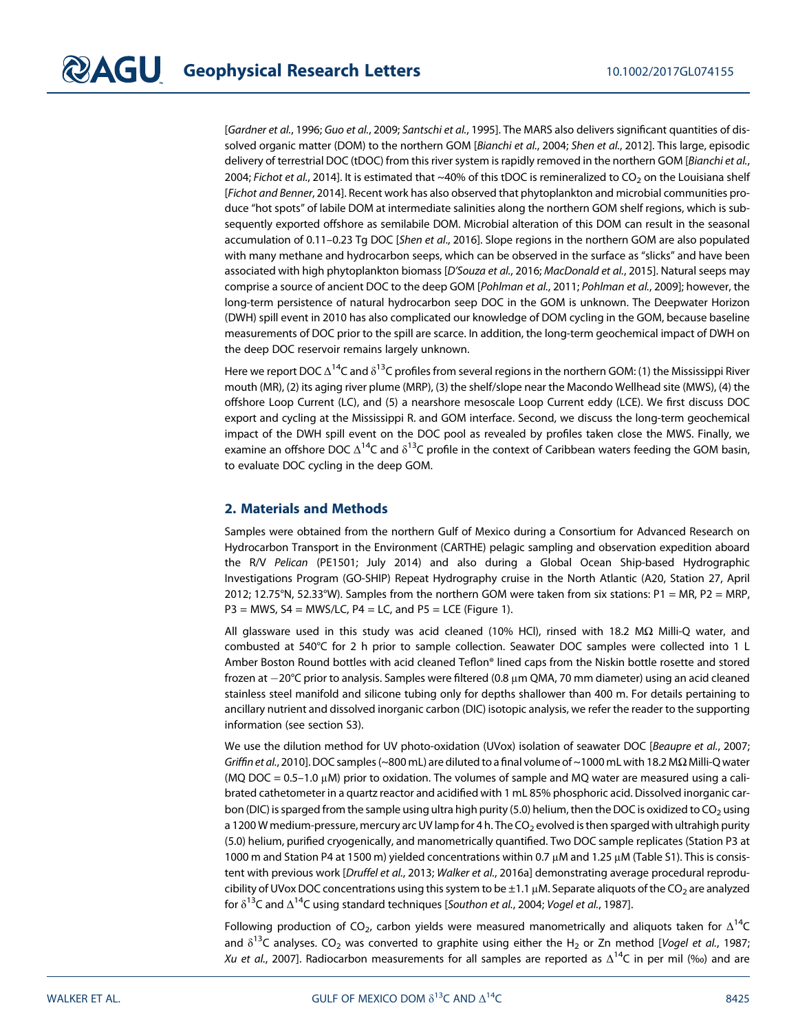[Gardner et al., 1996; Guo et al., 2009; Santschi et al., 1995]. The MARS also delivers significant quantities of dissolved organic matter (DOM) to the northern GOM [Bianchi et al., 2004; Shen et al., 2012]. This large, episodic delivery of terrestrial DOC (tDOC) from this river system is rapidly removed in the northern GOM [Bianchi et al., 2004; Fichot et al., 2014]. It is estimated that ~40% of this tDOC is remineralized to CO<sub>2</sub> on the Louisiana shelf [Fichot and Benner, 2014]. Recent work has also observed that phytoplankton and microbial communities produce "hot spots" of labile DOM at intermediate salinities along the northern GOM shelf regions, which is subsequently exported offshore as semilabile DOM. Microbial alteration of this DOM can result in the seasonal accumulation of 0.11–0.23 Tg DOC [Shen et al., 2016]. Slope regions in the northern GOM are also populated with many methane and hydrocarbon seeps, which can be observed in the surface as "slicks" and have been associated with high phytoplankton biomass [D'Souza et al., 2016; MacDonald et al., 2015]. Natural seeps may comprise a source of ancient DOC to the deep GOM [Pohlman et al., 2011; Pohlman et al., 2009]; however, the long-term persistence of natural hydrocarbon seep DOC in the GOM is unknown. The Deepwater Horizon (DWH) spill event in 2010 has also complicated our knowledge of DOM cycling in the GOM, because baseline measurements of DOC prior to the spill are scarce. In addition, the long-term geochemical impact of DWH on the deep DOC reservoir remains largely unknown.

Here we report DOC  $\Delta^{14}C$  and  $\delta^{13}C$  profiles from several regions in the northern GOM: (1) the Mississippi River mouth (MR), (2) its aging river plume (MRP), (3) the shelf/slope near the Macondo Wellhead site (MWS), (4) the offshore Loop Current (LC), and (5) a nearshore mesoscale Loop Current eddy (LCE). We first discuss DOC export and cycling at the Mississippi R. and GOM interface. Second, we discuss the long-term geochemical impact of the DWH spill event on the DOC pool as revealed by profiles taken close the MWS. Finally, we examine an offshore DOC  $\Delta^{14}C$  and  $\delta^{13}C$  profile in the context of Caribbean waters feeding the GOM basin, to evaluate DOC cycling in the deep GOM.

#### 2. Materials and Methods

Samples were obtained from the northern Gulf of Mexico during a Consortium for Advanced Research on Hydrocarbon Transport in the Environment (CARTHE) pelagic sampling and observation expedition aboard the R/V Pelican (PE1501; July 2014) and also during a Global Ocean Ship-based Hydrographic Investigations Program (GO-SHIP) Repeat Hydrography cruise in the North Atlantic (A20, Station 27, April 2012; 12.75°N, 52.33°W). Samples from the northern GOM were taken from six stations: P1 = MR, P2 = MRP,  $P3 = MWS$ ,  $SA = MWS/LC$ ,  $P4 = LC$ , and  $P5 = LCE$  (Figure 1).

All glassware used in this study was acid cleaned (10% HCl), rinsed with 18.2 MΩ Milli-Q water, and combusted at 540°C for 2 h prior to sample collection. Seawater DOC samples were collected into 1 L Amber Boston Round bottles with acid cleaned Teflon® lined caps from the Niskin bottle rosette and stored frozen at  $-20^{\circ}$ C prior to analysis. Samples were filtered (0.8  $\mu$ m QMA, 70 mm diameter) using an acid cleaned stainless steel manifold and silicone tubing only for depths shallower than 400 m. For details pertaining to ancillary nutrient and dissolved inorganic carbon (DIC) isotopic analysis, we refer the reader to the supporting information (see section S3).

We use the dilution method for UV photo-oxidation (UVox) isolation of seawater DOC [Beaupre et al., 2007; Griffin et al., 2010]. DOC samples (~800 mL) are diluted to a final volume of ~1000 mL with 18.2 M $\Omega$  Milli-Q water (MQ DOC =  $0.5$ –1.0  $\mu$ M) prior to oxidation. The volumes of sample and MQ water are measured using a calibrated cathetometer in a quartz reactor and acidified with 1 mL 85% phosphoric acid. Dissolved inorganic carbon (DIC) is sparged from the sample using ultra high purity (5.0) helium, then the DOC is oxidized to  $CO_2$  using a 1200 W medium-pressure, mercury arc UV lamp for 4 h. The CO<sub>2</sub> evolved is then sparged with ultrahigh purity (5.0) helium, purified cryogenically, and manometrically quantified. Two DOC sample replicates (Station P3 at 1000 m and Station P4 at 1500 m) yielded concentrations within 0.7 μM and 1.25 μM (Table S1). This is consistent with previous work [Druffel et al., 2013; Walker et al., 2016a] demonstrating average procedural reproducibility of UVox DOC concentrations using this system to be  $\pm 1.1 \,\mu$ M. Separate aliquots of the CO<sub>2</sub> are analyzed for  $\delta^{13}$ C and  $\Delta^{14}$ C using standard techniques [Southon et al., 2004; Vogel et al., 1987].

Following production of CO<sub>2</sub>, carbon yields were measured manometrically and aliquots taken for  $\Delta^{14}C$ and  $\delta^{13}$ C analyses. CO<sub>2</sub> was converted to graphite using either the H<sub>2</sub> or Zn method [Vogel et al., 1987; Xu et al., 2007]. Radiocarbon measurements for all samples are reported as  $\Delta^{14}C$  in per mil (‰) and are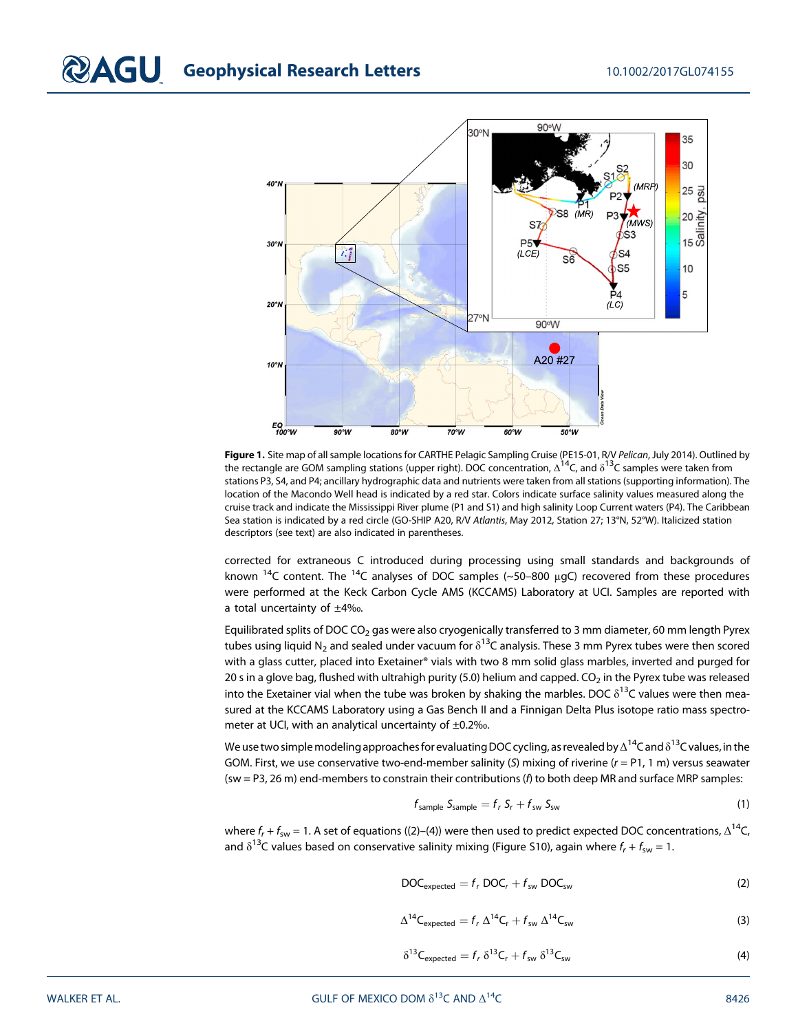# **COAGU** Geophysical Research Letters 10.1002/2017GL074155



Figure 1. Site map of all sample locations for CARTHE Pelagic Sampling Cruise (PE15-01, R/V Pelican, July 2014). Outlined by the rectangle are GOM sampling stations (upper right). DOC concentration,  $\Delta^{14}$ C, and  $\delta^{13}$ C samples were taken from stations P3, S4, and P4; ancillary hydrographic data and nutrients were taken from all stations (supporting information). The location of the Macondo Well head is indicated by a red star. Colors indicate surface salinity values measured along the cruise track and indicate the Mississippi River plume (P1 and S1) and high salinity Loop Current waters (P4). The Caribbean Sea station is indicated by a red circle (GO-SHIP A20, R/V Atlantis, May 2012, Station 27; 13°N, 52°W). Italicized station descriptors (see text) are also indicated in parentheses.

corrected for extraneous C introduced during processing using small standards and backgrounds of known <sup>14</sup>C content. The <sup>14</sup>C analyses of DOC samples (~50–800  $\mu$ gC) recovered from these procedures were performed at the Keck Carbon Cycle AMS (KCCAMS) Laboratory at UCI. Samples are reported with a total uncertainty of ±4‰.

Equilibrated splits of DOC CO<sub>2</sub> gas were also cryogenically transferred to 3 mm diameter, 60 mm length Pyrex tubes using liquid N<sub>2</sub> and sealed under vacuum for  $\delta^{13}$ C analysis. These 3 mm Pyrex tubes were then scored with a glass cutter, placed into Exetainer® vials with two 8 mm solid glass marbles, inverted and purged for 20 s in a glove bag, flushed with ultrahigh purity (5.0) helium and capped.  $CO<sub>2</sub>$  in the Pyrex tube was released into the Exetainer vial when the tube was broken by shaking the marbles. DOC  $\delta^{13}$ C values were then measured at the KCCAMS Laboratory using a Gas Bench II and a Finnigan Delta Plus isotope ratio mass spectrometer at UCI, with an analytical uncertainty of ±0.2‰.

We use two simple modeling approaches for evaluating DOC cycling, as revealed by  $\Delta^{14}C$  and  $\delta^{13}C$  values, in the GOM. First, we use conservative two-end-member salinity (S) mixing of riverine ( $r = P1$ , 1 m) versus seawater (sw = P3, 26 m) end-members to constrain their contributions (f) to both deep MR and surface MRP samples:

$$
f_{\text{sample}} S_{\text{sample}} = f_r S_r + f_{\text{sw}} S_{\text{sw}}
$$
\n(1)

where  $f_r + f_{sw} = 1$ . A set of equations ((2)–(4)) were then used to predict expected DOC concentrations,  $\Delta^{14}C$ , and  $\delta^{13}$ C values based on conservative salinity mixing (Figure S10), again where  $f_r + f_{sw} = 1$ .

$$
DOC_{expected} = f_r \, DOC_r + f_{sw} \, DOC_{sw}
$$
 (2)

$$
\Delta^{14}C_{\text{expected}} = f_r \Delta^{14}C_r + f_{\text{sw}} \Delta^{14}C_{\text{sw}}
$$
 (3)

$$
\delta^{13}C_{expected} = f_r \delta^{13}C_r + f_{sw} \delta^{13}C_{sw}
$$
 (4)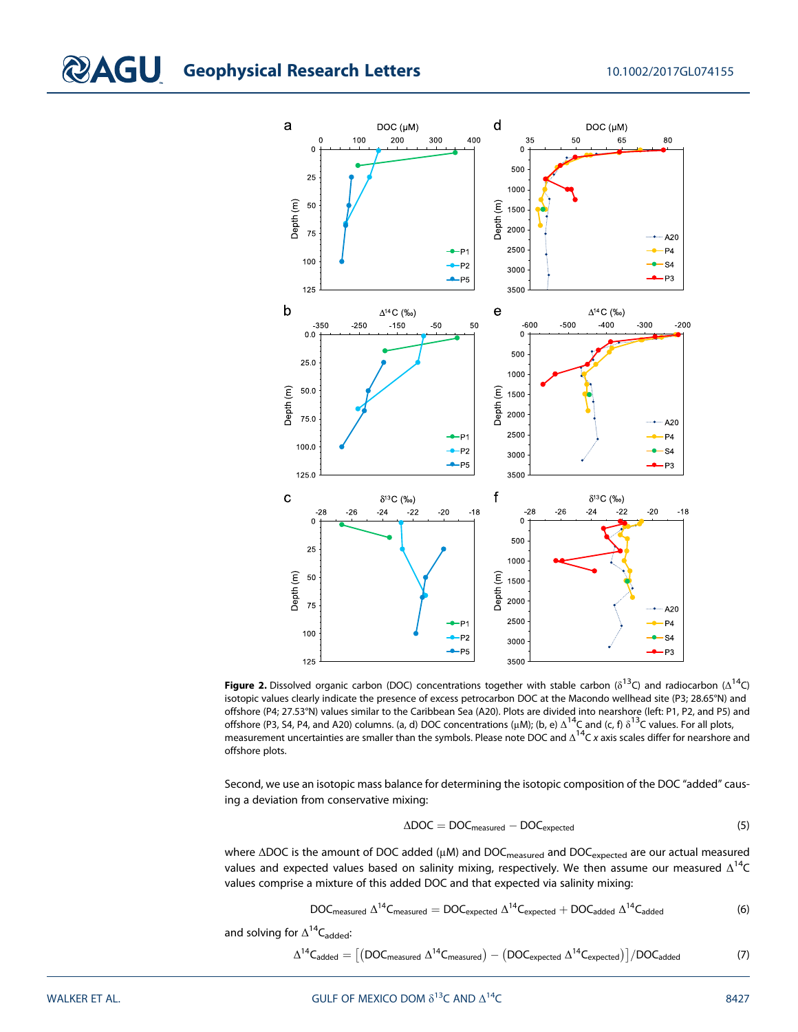# **CAGU** Geophysical Research Letters 10.1002/2017GL074155



**Figure 2.** Dissolved organic carbon (DOC) concentrations together with stable carbon ( $\delta^{13}$ C) and radiocarbon ( $\Delta^{14}$ C) isotopic values clearly indicate the presence of excess petrocarbon DOC at the Macondo wellhead site (P3; 28.65°N) and offshore (P4; 27.53°N) values similar to the Caribbean Sea (A20). Plots are divided into nearshore (left: P1, P2, and P5) and offshore (P3, S4, P4, and A20) columns. (a, d) DOC concentrations ( $\mu$ M); (b, e)  $\Delta^{14}$ C and (c, f)  $\delta^{13}$ C values. For all plots, measurement uncertainties are smaller than the symbols. Please note DOC and  $\Delta^{14}$ C x axis scales differ for nearshore and offshore plots.

Second, we use an isotopic mass balance for determining the isotopic composition of the DOC "added" causing a deviation from conservative mixing:

$$
\Delta \text{DOC} = \text{DOC}_{\text{measured}} - \text{DOC}_{\text{expected}} \tag{5}
$$

where ΔDOC is the amount of DOC added (μM) and DOC<sub>measured</sub> and DOC<sub>expected</sub> are our actual measured values and expected values based on salinity mixing, respectively. We then assume our measured  $\Delta^{14}C$ values comprise a mixture of this added DOC and that expected via salinity mixing:

$$
DOC_{measured} \Delta^{14}C_{measured} = DOC_{expected} \Delta^{14}C_{expected} + DOC_{added} \Delta^{14}C_{added}
$$
 (6)

and solving for  $\Delta^{14}C_{\text{added}}$ :

$$
\Delta^{14}C_{added} = \big[\big( DOC_{measured}\ \Delta^{14}C_{measured}\big) - \big( DOC_{expected}\ \Delta^{14}C_{expected}\big)\big]/DOC_{added} \qquad \qquad (7)
$$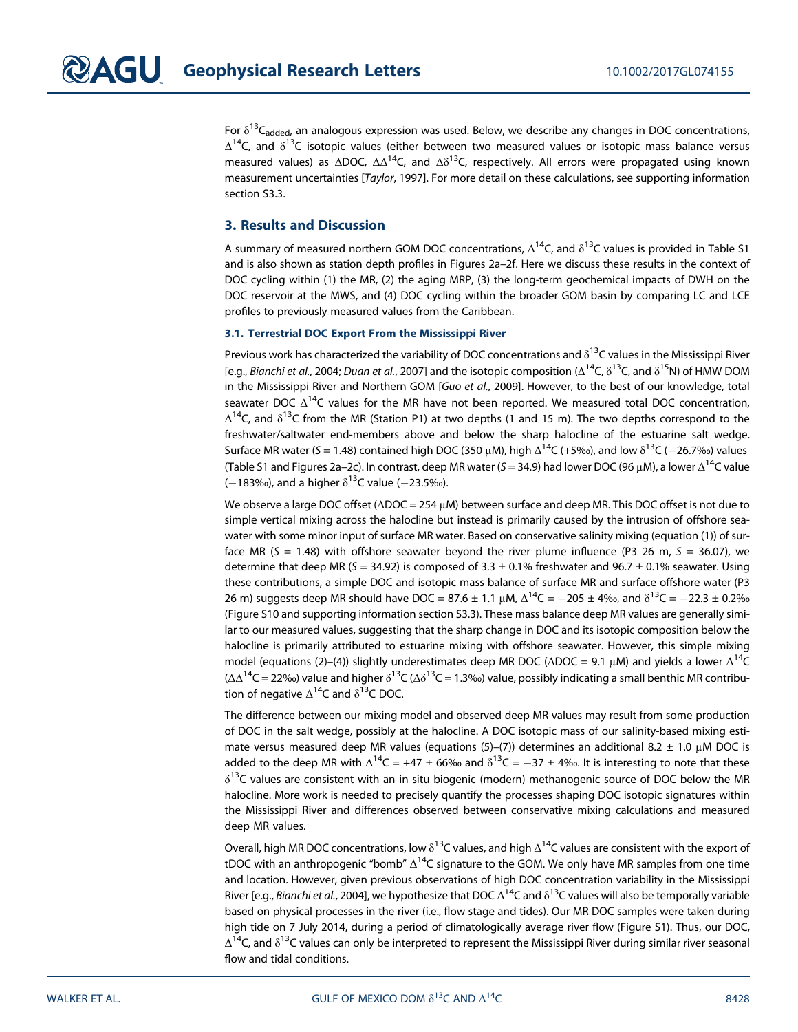For  $\delta^{13}C_{\text{added}}$ , an analogous expression was used. Below, we describe any changes in DOC concentrations,  $\Delta^{14}$ C, and  $\delta^{13}$ C isotopic values (either between two measured values or isotopic mass balance versus measured values) as  $\Delta$ DOC,  $\Delta\Delta^{14}$ C, and  $\Delta\delta^{13}$ C, respectively. All errors were propagated using known measurement uncertainties [Taylor, 1997]. For more detail on these calculations, see supporting information section S3.3.

#### 3. Results and Discussion

A summary of measured northern GOM DOC concentrations,  $\Delta^{14}$ C, and  $\delta^{13}$ C values is provided in Table S1 and is also shown as station depth profiles in Figures 2a–2f. Here we discuss these results in the context of DOC cycling within (1) the MR, (2) the aging MRP, (3) the long-term geochemical impacts of DWH on the DOC reservoir at the MWS, and (4) DOC cycling within the broader GOM basin by comparing LC and LCE profiles to previously measured values from the Caribbean.

#### 3.1. Terrestrial DOC Export From the Mississippi River

Previous work has characterized the variability of DOC concentrations and  $\delta^{13}$ C values in the Mississippi River [e.g., Bianchi et al., 2004; Duan et al., 2007] and the isotopic composition ( $\Delta^{14}C$ ,  $\delta^{13}C$ , and  $\delta^{15}N$ ) of HMW DOM in the Mississippi River and Northern GOM [Guo et al., 2009]. However, to the best of our knowledge, total seawater DOC  $\Delta^{14}$ C values for the MR have not been reported. We measured total DOC concentration,  $Δ<sup>14</sup>C$ , and  $δ<sup>13</sup>C$  from the MR (Station P1) at two depths (1 and 15 m). The two depths correspond to the freshwater/saltwater end-members above and below the sharp halocline of the estuarine salt wedge. Surface MR water (S = 1.48) contained high DOC (350 μM), high  $\Delta^{14}C$  (+5‰), and low δ<sup>13</sup>C (-26.7‰) values (Table S1 and Figures 2a–2c). In contrast, deep MR water (S = 34.9) had lower DOC (96 μM), a lower  $Δ^{14}C$  value  $(-183)$ %), and a higher  $\delta^{13}$ C value (-23.5‰).

We observe a large DOC offset (ΔDOC = 254 μM) between surface and deep MR. This DOC offset is not due to simple vertical mixing across the halocline but instead is primarily caused by the intrusion of offshore seawater with some minor input of surface MR water. Based on conservative salinity mixing (equation (1)) of surface MR ( $S = 1.48$ ) with offshore seawater beyond the river plume influence (P3 26 m,  $S = 36.07$ ), we determine that deep MR (S = 34.92) is composed of 3.3  $\pm$  0.1% freshwater and 96.7  $\pm$  0.1% seawater. Using these contributions, a simple DOC and isotopic mass balance of surface MR and surface offshore water (P3 26 m) suggests deep MR should have DOC = 87.6  $\pm$  1.1 μM,  $\Delta^{14}$ C = -205  $\pm$  4‰, and  $\delta^{13}$ C = -22.3  $\pm$  0.2‰ (Figure S10 and supporting information section S3.3). These mass balance deep MR values are generally similar to our measured values, suggesting that the sharp change in DOC and its isotopic composition below the halocline is primarily attributed to estuarine mixing with offshore seawater. However, this simple mixing model (equations (2)–(4)) slightly underestimates deep MR DOC ( $\triangle$ DOC = 9.1 μM) and yields a lower  $\triangle^{14}C$  $(\Delta\Delta^{14}C = 22\%)$  value and higher  $\delta^{13}C(\Delta\delta^{13}C = 1.3\%)$  value, possibly indicating a small benthic MR contribution of negative  $\Delta^{14}$ C and  $\delta^{13}$ C DOC.

The difference between our mixing model and observed deep MR values may result from some production of DOC in the salt wedge, possibly at the halocline. A DOC isotopic mass of our salinity-based mixing estimate versus measured deep MR values (equations (5)–(7)) determines an additional 8.2  $\pm$  1.0 μM DOC is added to the deep MR with  $\Delta^{14}C = +47 \pm 66\%$  and  $\delta^{13}C = -37 \pm 4\%$ . It is interesting to note that these  $\delta^{13}$ C values are consistent with an in situ biogenic (modern) methanogenic source of DOC below the MR halocline. More work is needed to precisely quantify the processes shaping DOC isotopic signatures within the Mississippi River and differences observed between conservative mixing calculations and measured deep MR values.

Overall, high MR DOC concentrations, low  $\delta^{13}$ C values, and high  $\Delta^{14}$ C values are consistent with the export of tDOC with an anthropogenic "bomb"  $\Delta^{14}C$  signature to the GOM. We only have MR samples from one time and location. However, given previous observations of high DOC concentration variability in the Mississippi River [e.g., Bianchi et al., 2004], we hypothesize that DOC  $\Delta^{14}$ C and  $\delta^{13}$ C values will also be temporally variable based on physical processes in the river (i.e., flow stage and tides). Our MR DOC samples were taken during high tide on 7 July 2014, during a period of climatologically average river flow (Figure S1). Thus, our DOC,  $\Delta^{14}$ C, and  $\delta^{13}$ C values can only be interpreted to represent the Mississippi River during similar river seasonal flow and tidal conditions.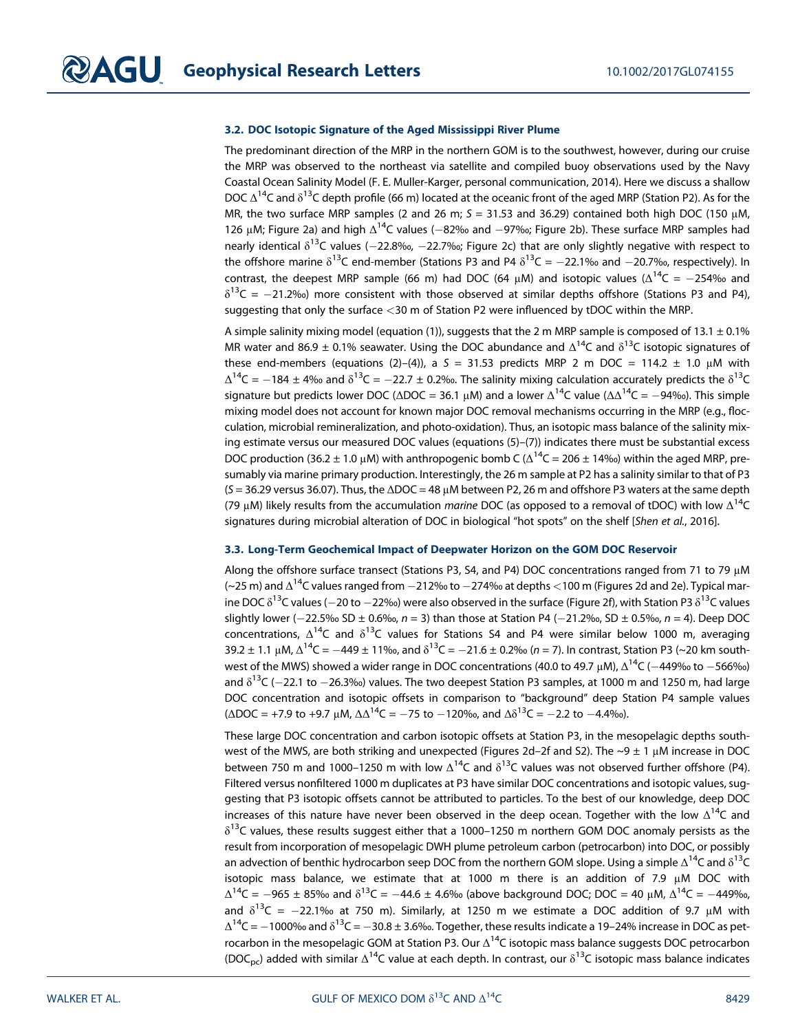#### 3.2. DOC Isotopic Signature of the Aged Mississippi River Plume

The predominant direction of the MRP in the northern GOM is to the southwest, however, during our cruise the MRP was observed to the northeast via satellite and compiled buoy observations used by the Navy Coastal Ocean Salinity Model (F. E. Muller-Karger, personal communication, 2014). Here we discuss a shallow DOC  $\Delta^{14}$ C and  $\delta^{13}$ C depth profile (66 m) located at the oceanic front of the aged MRP (Station P2). As for the MR, the two surface MRP samples (2 and 26 m;  $S = 31.53$  and 36.29) contained both high DOC (150  $\mu$ M, 126 μM; Figure 2a) and high  $Δ^{14}C$  values (-82‰ and -97‰; Figure 2b). These surface MRP samples had nearly identical  $\delta^{13}$ C values (-22.8‰, -22.7‰; Figure 2c) that are only slightly negative with respect to the offshore marine  $\delta^{13}C$  end-member (Stations P3 and P4  $\delta^{13}C = -22.1\%$  and  $-20.7\%$ , respectively). In contrast, the deepest MRP sample (66 m) had DOC (64 μM) and isotopic values ( $\Delta^{14}C = -254\%$  and  $\delta^{13}C = -21.2\%$ ) more consistent with those observed at similar depths offshore (Stations P3 and P4), suggesting that only the surface <30 m of Station P2 were influenced by tDOC within the MRP.

A simple salinity mixing model (equation (1)), suggests that the 2 m MRP sample is composed of 13.1  $\pm$  0.1% MR water and 86.9  $\pm$  0.1% seawater. Using the DOC abundance and  $\Delta^{14}$ C and  $\delta^{13}$ C isotopic signatures of these end-members (equations (2)–(4)), a S = 31.53 predicts MRP 2 m DOC = 114.2  $\pm$  1.0 µM with  $\Delta^{14}C = -184 \pm 4\%$  and  $\delta^{13}C = -22.7 \pm 0.2\%$ . The salinity mixing calculation accurately predicts the  $\delta^{13}C$ signature but predicts lower DOC ( $\Delta$ DOC = 36.1 μM) and a lower  $\Delta^{14}C$  value ( $\Delta\Delta^{14}C = -94\%$ ). This simple mixing model does not account for known major DOC removal mechanisms occurring in the MRP (e.g., flocculation, microbial remineralization, and photo-oxidation). Thus, an isotopic mass balance of the salinity mixing estimate versus our measured DOC values (equations (5)–(7)) indicates there must be substantial excess DOC production (36.2 ± 1.0 μM) with anthropogenic bomb C ( $\Delta^{14}$ C = 206 ± 14‰) within the aged MRP, presumably via marine primary production. Interestingly, the 26 m sample at P2 has a salinity similar to that of P3  $(S = 36.29$  versus 36.07). Thus, the  $\Delta DOC = 48 \mu$ M between P2, 26 m and offshore P3 waters at the same depth (79 μM) likely results from the accumulation marine DOC (as opposed to a removal of tDOC) with low  $\Delta^{14}C$ signatures during microbial alteration of DOC in biological "hot spots" on the shelf [Shen et al., 2016].

#### 3.3. Long-Term Geochemical Impact of Deepwater Horizon on the GOM DOC Reservoir

Along the offshore surface transect (Stations P3, S4, and P4) DOC concentrations ranged from 71 to 79 μM (~25 m) and  $\Delta^{14}$ C values ranged from  $-212$ ‰ to  $-274$ ‰ at depths <100 m (Figures 2d and 2e). Typical marine DOC  $\delta^{13}$ C values (-20 to -22‰) were also observed in the surface (Figure 2f), with Station P3  $\delta^{13}$ C values slightly lower ( $-22.5\%$  SD  $\pm$  0.6‰, n = 3) than those at Station P4 ( $-21.2\%$ ), SD  $\pm$  0.5‰, n = 4). Deep DOC concentrations,  $\Delta^{14}C$  and  $\delta^{13}C$  values for Stations S4 and P4 were similar below 1000 m, averaging 39.2 ± 1.1 μM,  $\Delta^{14}C = -449 \pm 11\%$ , and  $\delta^{13}C = -21.6 \pm 0.2\%$  (n = 7). In contrast, Station P3 (~20 km southwest of the MWS) showed a wider range in DOC concentrations (40.0 to 49.7 μM),  $Δ^{14}C$  ( $-449%$  to  $-566%$ ) and  $\delta^{13}$ C (-22.1 to -26.3‰) values. The two deepest Station P3 samples, at 1000 m and 1250 m, had large DOC concentration and isotopic offsets in comparison to "background" deep Station P4 sample values  $(\Delta$ DOC = +7.9 to +9.7 μM,  $\Delta\Delta^{14}$ C = -75 to -120‰, and  $\Delta\delta^{13}$ C = -2.2 to -4.4‰).

These large DOC concentration and carbon isotopic offsets at Station P3, in the mesopelagic depths southwest of the MWS, are both striking and unexpected (Figures 2d–2f and S2). The  $\sim$ 9  $\pm$  1 µM increase in DOC between 750 m and 1000–1250 m with low  $\Delta^{14}$ C and  $\delta^{13}$ C values was not observed further offshore (P4). Filtered versus nonfiltered 1000 m duplicates at P3 have similar DOC concentrations and isotopic values, suggesting that P3 isotopic offsets cannot be attributed to particles. To the best of our knowledge, deep DOC increases of this nature have never been observed in the deep ocean. Together with the low  $\Delta^{14}C$  and  $\delta^{13}$ C values, these results suggest either that a 1000–1250 m northern GOM DOC anomaly persists as the result from incorporation of mesopelagic DWH plume petroleum carbon (petrocarbon) into DOC, or possibly an advection of benthic hydrocarbon seep DOC from the northern GOM slope. Using a simple  $\Delta^{14}C$  and  $\delta^{13}C$ isotopic mass balance, we estimate that at 1000 m there is an addition of 7.9 μM DOC with  $\Delta^{14}C = -965 \pm 85\%$  and  $\delta^{13}C = -44.6 \pm 4.6\%$  (above background DOC; DOC = 40  $\mu$ M,  $\Delta^{14}C = -449\%$ , and  $\delta^{13}C = -22.1\%$  at 750 m). Similarly, at 1250 m we estimate a DOC addition of 9.7 µM with  $\Delta^{14}$ C =  $-1000$ ‰ and  $\delta^{13}$ C =  $-30.8 \pm 3.6$ ‰. Together, these results indicate a 19-24% increase in DOC as petrocarbon in the mesopelagic GOM at Station P3. Our  $\Delta^{14}$ C isotopic mass balance suggests DOC petrocarbon (DOC<sub>pc</sub>) added with similar  $\Delta^{14}$ C value at each depth. In contrast, our  $\delta^{13}$ C isotopic mass balance indicates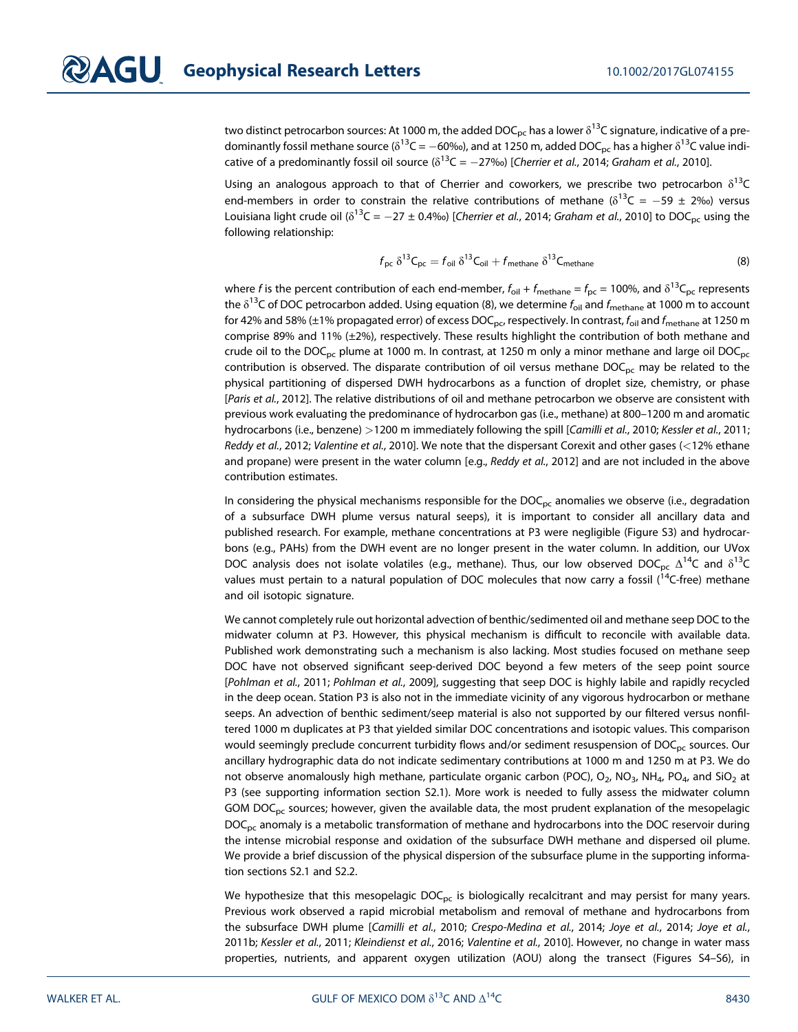two distinct petrocarbon sources: At 1000 m, the added DOC<sub>pc</sub> has a lower  $\delta^{13}$ C signature, indicative of a predominantly fossil methane source ( $\delta^{13}C = -60\%$ ), and at 1250 m, added DOC<sub>pc</sub> has a higher  $\delta^{13}C$  value indicative of a predominantly fossil oil source ( $\delta^{13}C = -27\%$ ) [Cherrier et al., 2014; Graham et al., 2010].

Using an analogous approach to that of Cherrier and coworkers, we prescribe two petrocarbon  $\delta^{13}$ C end-members in order to constrain the relative contributions of methane ( $\delta^{13}C = -59 \pm 2\%$ ) versus Louisiana light crude oil ( $\delta^{13}C = -27 \pm 0.4$ %) [Cherrier et al., 2014; Graham et al., 2010] to DOC<sub>pc</sub> using the following relationship:

$$
f_{\rm pc} \delta^{13} C_{\rm pc} = f_{\rm oil} \delta^{13} C_{\rm oil} + f_{\rm methane} \delta^{13} C_{\rm methane}
$$
 (8)

where f is the percent contribution of each end-member,  $f_{oil} + f_{methane} = f_{pc} = 100\%$ , and  $\delta^{13}C_{pc}$  represents the  $\delta^{13}$ C of DOC petrocarbon added. Using equation (8), we determine  $f_{\text{oil}}$  and  $f_{\text{methane}}$  at 1000 m to account for 42% and 58% (±1% propagated error) of excess DOC<sub>pc</sub>, respectively. In contrast,  $f_{\text{oil}}$  and  $f_{\text{methane}}$  at 1250 m comprise 89% and 11% (±2%), respectively. These results highlight the contribution of both methane and crude oil to the DOC<sub>pc</sub> plume at 1000 m. In contrast, at 1250 m only a minor methane and large oil DOC<sub>pc</sub> contribution is observed. The disparate contribution of oil versus methane  $DOC<sub>pc</sub>$  may be related to the physical partitioning of dispersed DWH hydrocarbons as a function of droplet size, chemistry, or phase [Paris et al., 2012]. The relative distributions of oil and methane petrocarbon we observe are consistent with previous work evaluating the predominance of hydrocarbon gas (i.e., methane) at 800–1200 m and aromatic hydrocarbons (i.e., benzene) >1200 m immediately following the spill [Camilli et al., 2010; Kessler et al., 2011; Reddy et al., 2012; Valentine et al., 2010]. We note that the dispersant Corexit and other gases (<12% ethane and propane) were present in the water column [e.g., Reddy et al., 2012] and are not included in the above contribution estimates.

In considering the physical mechanisms responsible for the  $DOC_{pc}$  anomalies we observe (i.e., degradation of a subsurface DWH plume versus natural seeps), it is important to consider all ancillary data and published research. For example, methane concentrations at P3 were negligible (Figure S3) and hydrocarbons (e.g., PAHs) from the DWH event are no longer present in the water column. In addition, our UVox DOC analysis does not isolate volatiles (e.g., methane). Thus, our low observed DOC<sub>pc</sub>  $\Delta^{14}C$  and  $\delta^{13}C$ values must pertain to a natural population of DOC molecules that now carry a fossil  $(^{14}C$ -free) methane and oil isotopic signature.

We cannot completely rule out horizontal advection of benthic/sedimented oil and methane seep DOC to the midwater column at P3. However, this physical mechanism is difficult to reconcile with available data. Published work demonstrating such a mechanism is also lacking. Most studies focused on methane seep DOC have not observed significant seep-derived DOC beyond a few meters of the seep point source [Pohlman et al., 2011; Pohlman et al., 2009], suggesting that seep DOC is highly labile and rapidly recycled in the deep ocean. Station P3 is also not in the immediate vicinity of any vigorous hydrocarbon or methane seeps. An advection of benthic sediment/seep material is also not supported by our filtered versus nonfiltered 1000 m duplicates at P3 that yielded similar DOC concentrations and isotopic values. This comparison would seemingly preclude concurrent turbidity flows and/or sediment resuspension of DOC<sub>pc</sub> sources. Our ancillary hydrographic data do not indicate sedimentary contributions at 1000 m and 1250 m at P3. We do not observe anomalously high methane, particulate organic carbon (POC),  $O_2$ , NO<sub>3</sub>, NH<sub>4</sub>, PO<sub>4</sub>, and SiO<sub>2</sub> at P3 (see supporting information section S2.1). More work is needed to fully assess the midwater column GOM  $DOC<sub>pc</sub>$  sources; however, given the available data, the most prudent explanation of the mesopelagic DOC<sub>pc</sub> anomaly is a metabolic transformation of methane and hydrocarbons into the DOC reservoir during the intense microbial response and oxidation of the subsurface DWH methane and dispersed oil plume. We provide a brief discussion of the physical dispersion of the subsurface plume in the supporting information sections S2.1 and S2.2.

We hypothesize that this mesopelagic  $DOC_{pc}$  is biologically recalcitrant and may persist for many years. Previous work observed a rapid microbial metabolism and removal of methane and hydrocarbons from the subsurface DWH plume [Camilli et al., 2010; Crespo-Medina et al., 2014; Joye et al., 2014; Joye et al., 2011b; Kessler et al., 2011; Kleindienst et al., 2016; Valentine et al., 2010]. However, no change in water mass properties, nutrients, and apparent oxygen utilization (AOU) along the transect (Figures S4–S6), in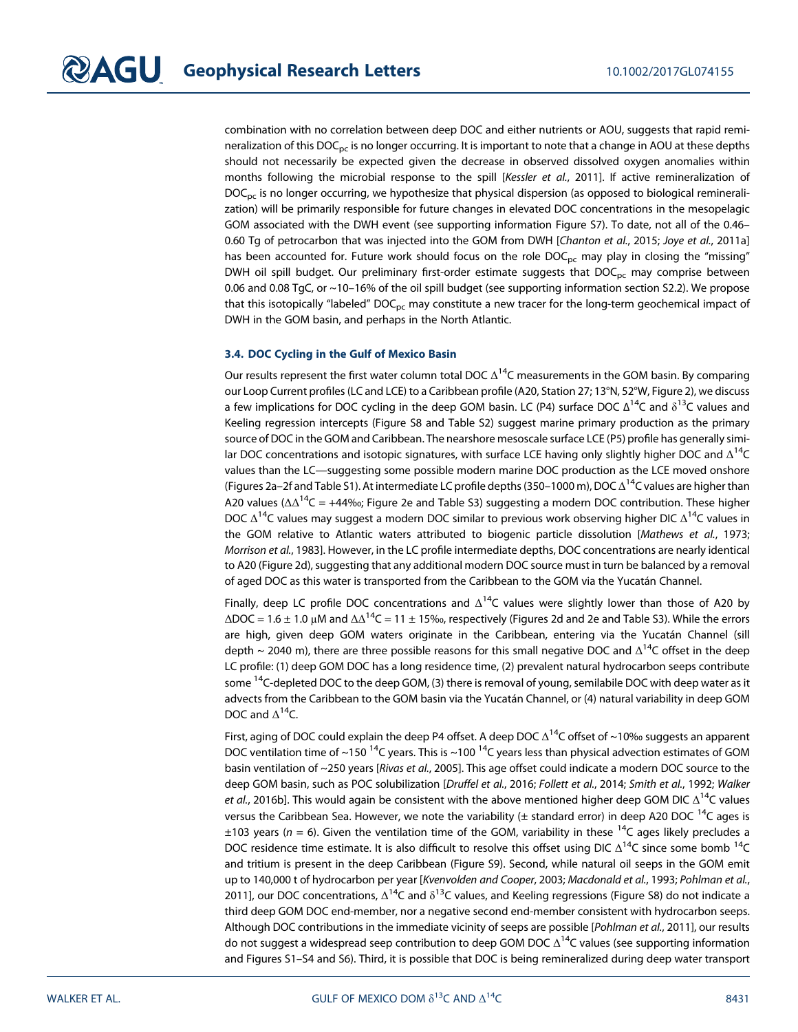combination with no correlation between deep DOC and either nutrients or AOU, suggests that rapid remineralization of this  $DOC_{pc}$  is no longer occurring. It is important to note that a change in AOU at these depths should not necessarily be expected given the decrease in observed dissolved oxygen anomalies within months following the microbial response to the spill [Kessler et al., 2011]. If active remineralization of  $DOC<sub>pc</sub>$  is no longer occurring, we hypothesize that physical dispersion (as opposed to biological remineralization) will be primarily responsible for future changes in elevated DOC concentrations in the mesopelagic GOM associated with the DWH event (see supporting information Figure S7). To date, not all of the 0.46– 0.60 Tg of petrocarbon that was injected into the GOM from DWH [Chanton et al., 2015; Joye et al., 2011a] has been accounted for. Future work should focus on the role  $DOC_{pc}$  may play in closing the "missing" DWH oil spill budget. Our preliminary first-order estimate suggests that  $DOC<sub>pc</sub>$  may comprise between 0.06 and 0.08 TgC, or ~10–16% of the oil spill budget (see supporting information section S2.2). We propose that this isotopically "labeled"  $DOC_{pc}$  may constitute a new tracer for the long-term geochemical impact of DWH in the GOM basin, and perhaps in the North Atlantic.

#### 3.4. DOC Cycling in the Gulf of Mexico Basin

Our results represent the first water column total DOC  $\Delta^{14}$ C measurements in the GOM basin. By comparing our Loop Current profiles (LC and LCE) to a Caribbean profile (A20, Station 27; 13°N, 52°W, Figure 2), we discuss a few implications for DOC cycling in the deep GOM basin. LC (P4) surface DOC  $\Delta^{14}$ C and  $\delta^{13}$ C values and Keeling regression intercepts (Figure S8 and Table S2) suggest marine primary production as the primary source of DOC in the GOM and Caribbean. The nearshore mesoscale surface LCE (P5) profile has generally similar DOC concentrations and isotopic signatures, with surface LCE having only slightly higher DOC and  $\Delta^{14}C$ values than the LC—suggesting some possible modern marine DOC production as the LCE moved onshore (Figures 2a–2f and Table S1). At intermediate LC profile depths (350–1000 m), DOC  $\Delta^{14}$ C values are higher than A20 values ( $\Delta\Delta^{14}C = +44\%$ ; Figure 2e and Table S3) suggesting a modern DOC contribution. These higher DOC  $\Delta^{14}$ C values may suggest a modern DOC similar to previous work observing higher DIC  $\Delta^{14}$ C values in the GOM relative to Atlantic waters attributed to biogenic particle dissolution [Mathews et al., 1973; Morrison et al., 1983]. However, in the LC profile intermediate depths, DOC concentrations are nearly identical to A20 (Figure 2d), suggesting that any additional modern DOC source must in turn be balanced by a removal of aged DOC as this water is transported from the Caribbean to the GOM via the Yucatán Channel.

Finally, deep LC profile DOC concentrations and  $\Delta^{14}$ C values were slightly lower than those of A20 by  $\triangle$ DOC = 1.6 ± 1.0 μM and  $\triangle$ Δ<sup>14</sup>C = 11 ± 15‰, respectively (Figures 2d and 2e and Table S3). While the errors are high, given deep GOM waters originate in the Caribbean, entering via the Yucatán Channel (sill depth ~ 2040 m), there are three possible reasons for this small negative DOC and  $\Delta^{14}$ C offset in the deep LC profile: (1) deep GOM DOC has a long residence time, (2) prevalent natural hydrocarbon seeps contribute some <sup>14</sup>C-depleted DOC to the deep GOM, (3) there is removal of young, semilabile DOC with deep water as it advects from the Caribbean to the GOM basin via the Yucatán Channel, or (4) natural variability in deep GOM DOC and  $\Delta^{14}$ C.

First, aging of DOC could explain the deep P4 offset. A deep DOC  $\Delta^{14}$ C offset of ~10‰ suggests an apparent DOC ventilation time of ~150<sup>14</sup>C years. This is ~100<sup>14</sup>C years less than physical advection estimates of GOM basin ventilation of ~250 years [Rivas et al., 2005]. This age offset could indicate a modern DOC source to the deep GOM basin, such as POC solubilization [Druffel et al., 2016; Follett et al., 2014; Smith et al., 1992; Walker et al., 2016b]. This would again be consistent with the above mentioned higher deep GOM DIC  $\Delta^{14}$ C values versus the Caribbean Sea. However, we note the variability ( $\pm$  standard error) in deep A20 DOC <sup>14</sup>C ages is  $\pm$ 103 years (n = 6). Given the ventilation time of the GOM, variability in these <sup>14</sup>C ages likely precludes a DOC residence time estimate. It is also difficult to resolve this offset using DIC  $\Delta^{14}C$  since some bomb  $^{14}C$ and tritium is present in the deep Caribbean (Figure S9). Second, while natural oil seeps in the GOM emit up to 140,000 t of hydrocarbon per year [Kvenvolden and Cooper, 2003; Macdonald et al., 1993; Pohlman et al., 2011], our DOC concentrations,  $\Delta^{14}$ C and  $\delta^{13}$ C values, and Keeling regressions (Figure S8) do not indicate a third deep GOM DOC end-member, nor a negative second end-member consistent with hydrocarbon seeps. Although DOC contributions in the immediate vicinity of seeps are possible [Pohlman et al., 2011], our results do not suggest a widespread seep contribution to deep GOM DOC  $\Delta^{14}$ C values (see supporting information and Figures S1–S4 and S6). Third, it is possible that DOC is being remineralized during deep water transport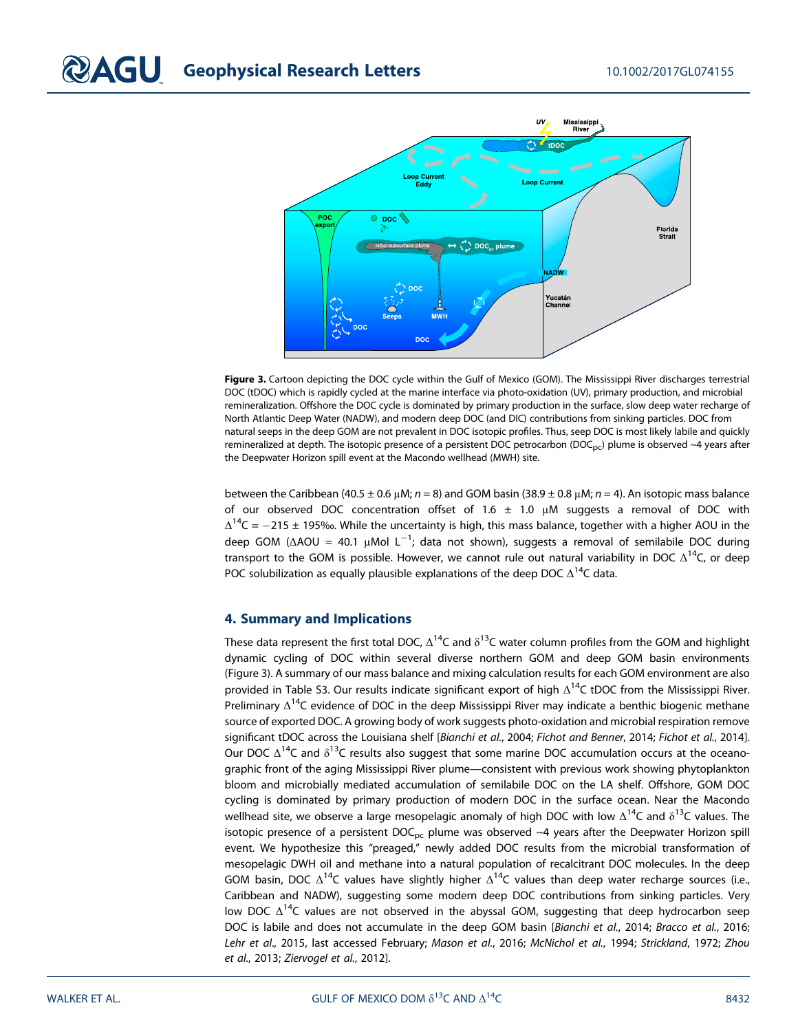

Figure 3. Cartoon depicting the DOC cycle within the Gulf of Mexico (GOM). The Mississippi River discharges terrestrial DOC (tDOC) which is rapidly cycled at the marine interface via photo-oxidation (UV), primary production, and microbial remineralization. Offshore the DOC cycle is dominated by primary production in the surface, slow deep water recharge of North Atlantic Deep Water (NADW), and modern deep DOC (and DIC) contributions from sinking particles. DOC from natural seeps in the deep GOM are not prevalent in DOC isotopic profiles. Thus, seep DOC is most likely labile and quickly remineralized at depth. The isotopic presence of a persistent DOC petrocarbon (DOC<sub>pc</sub>) plume is observed ~4 years after the Deepwater Horizon spill event at the Macondo wellhead (MWH) site.

between the Caribbean (40.5 ± 0.6 μM;  $n = 8$ ) and GOM basin (38.9 ± 0.8 μM;  $n = 4$ ). An isotopic mass balance of our observed DOC concentration offset of 1.6  $\pm$  1.0  $\mu$ M suggests a removal of DOC with  $\Delta^{14}$ C = -215 ± 195‰. While the uncertainty is high, this mass balance, together with a higher AOU in the deep GOM (ΔAOU = 40.1 μMol L<sup>-1</sup>; data not shown), suggests a removal of semilabile DOC during transport to the GOM is possible. However, we cannot rule out natural variability in DOC  $\Delta^{14}$ C, or deep POC solubilization as equally plausible explanations of the deep DOC  $\Delta^{14}$ C data.

#### 4. Summary and Implications

These data represent the first total DOC,  $\Delta^{14}C$  and  $\delta^{13}C$  water column profiles from the GOM and highlight dynamic cycling of DOC within several diverse northern GOM and deep GOM basin environments (Figure 3). A summary of our mass balance and mixing calculation results for each GOM environment are also provided in Table S3. Our results indicate significant export of high  $\Delta^{14}C$  tDOC from the Mississippi River. Preliminary  $\Delta^{14}$ C evidence of DOC in the deep Mississippi River may indicate a benthic biogenic methane source of exported DOC. A growing body of work suggests photo-oxidation and microbial respiration remove significant tDOC across the Louisiana shelf [Bianchi et al., 2004; Fichot and Benner, 2014; Fichot et al., 2014]. Our DOC  $\Delta^{14}$ C and  $\delta^{13}$ C results also suggest that some marine DOC accumulation occurs at the oceanographic front of the aging Mississippi River plume—consistent with previous work showing phytoplankton bloom and microbially mediated accumulation of semilabile DOC on the LA shelf. Offshore, GOM DOC cycling is dominated by primary production of modern DOC in the surface ocean. Near the Macondo wellhead site, we observe a large mesopelagic anomaly of high DOC with low  $\Delta^{14}C$  and  $\delta^{13}C$  values. The isotopic presence of a persistent  $DOC_{pc}$  plume was observed ~4 years after the Deepwater Horizon spill event. We hypothesize this "preaged," newly added DOC results from the microbial transformation of mesopelagic DWH oil and methane into a natural population of recalcitrant DOC molecules. In the deep GOM basin, DOC  $\Delta^{14}C$  values have slightly higher  $\Delta^{14}C$  values than deep water recharge sources (i.e., Caribbean and NADW), suggesting some modern deep DOC contributions from sinking particles. Very low DOC  $\Delta^{14}$ C values are not observed in the abyssal GOM, suggesting that deep hydrocarbon seep DOC is labile and does not accumulate in the deep GOM basin [Bianchi et al., 2014; Bracco et al., 2016; Lehr et al., 2015, last accessed February; Mason et al., 2016; McNichol et al., 1994; Strickland, 1972; Zhou et al., 2013; Ziervogel et al., 2012].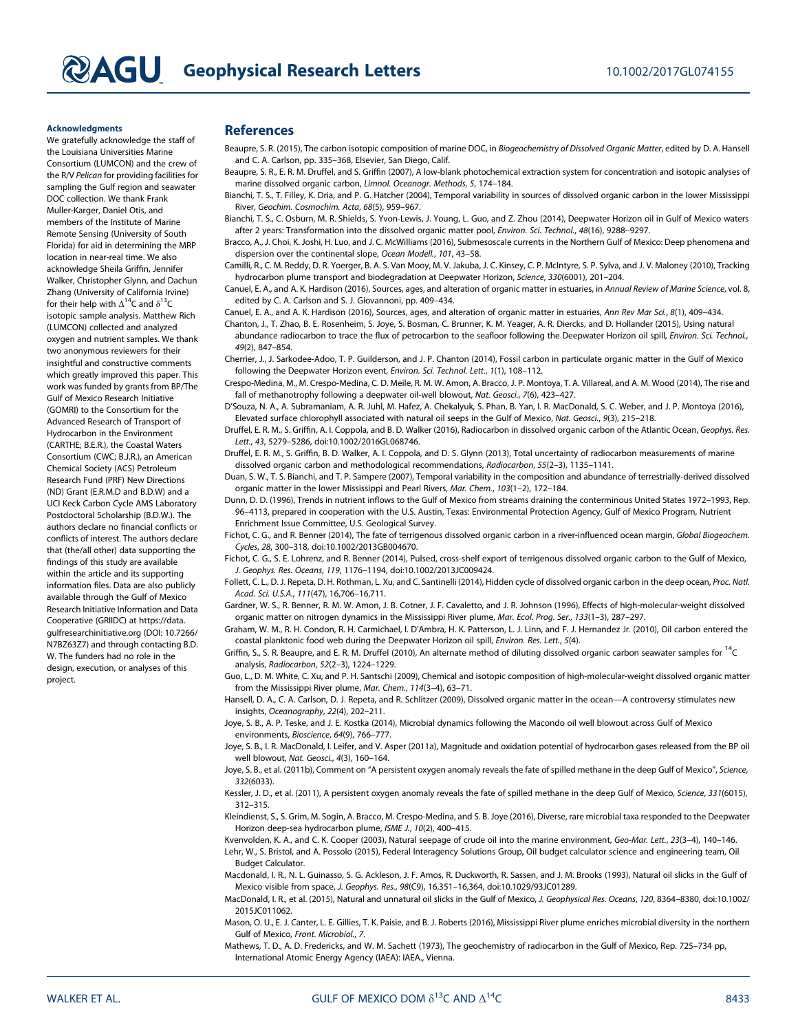#### Acknowledgments

We gratefully acknowledge the staff of the Louisiana Universities Marine Consortium (LUMCON) and the crew of the R/V Pelican for providing facilities for sampling the Gulf region and seawater DOC collection. We thank Frank Muller-Karger, Daniel Otis, and members of the Institute of Marine Remote Sensing (University of South Florida) for aid in determining the MRP location in near-real time. We also acknowledge Sheila Griffin, Jennifer Walker, Christopher Glynn, and Dachun Zhang (University of California Irvine) for their help with  $\Delta^{14}$ C and  $\delta^{13}$ C isotopic sample analysis. Matthew Rich (LUMCON) collected and analyzed oxygen and nutrient samples. We thank two anonymous reviewers for their insightful and constructive comments which greatly improved this paper. This work was funded by grants from BP/The Gulf of Mexico Research Initiative (GOMRI) to the Consortium for the Advanced Research of Transport of Hydrocarbon in the Environment (CARTHE; B.E.R.), the Coastal Waters Consortium (CWC; B.J.R.), an American Chemical Society (ACS) Petroleum Research Fund (PRF) New Directions (ND) Grant (E.R.M.D and B.D.W) and a UCI Keck Carbon Cycle AMS Laboratory Postdoctoral Scholarship (B.D.W.). The authors declare no financial conflicts or conflicts of interest. The authors declare that (the/all other) data supporting the findings of this study are available within the article and its supporting information files. Data are also publicly available through the Gulf of Mexico Research Initiative Information and Data Cooperative (GRIIDC) at [https://data.](https://data.gulfresearchinitiative.org) [gulfresearchinitiative.org](https://data.gulfresearchinitiative.org) (DOI: [10.7266/](https://doi.org/10.7266/N7BZ63Z7) [N7BZ63Z7\) and through contacting B.D.](https://doi.org/10.7266/N7BZ63Z7) [W. The funders had no role in the](https://doi.org/10.7266/N7BZ63Z7) [design, execution, or analyses of this](https://doi.org/10.7266/N7BZ63Z7) [project.](https://doi.org/10.7266/N7BZ63Z7)

#### **References**

- Beaupre, S. R. (2015), The carbon isotopic composition of marine DOC, in Biogeochemistry of Dissolved Organic Matter, edited by D. A. Hansell and C. A. Carlson, pp. 335–368, Elsevier, San Diego, Calif.
- Beaupre, S. R., E. R. M. Druffel, and S. Griffin (2007), A low-blank photochemical extraction system for concentration and isotopic analyses of marine dissolved organic carbon, Limnol. Oceanogr. Methods, 5, 174–184.
- Bianchi, T. S., T. Filley, K. Dria, and P. G. Hatcher (2004), Temporal variability in sources of dissolved organic carbon in the lower Mississippi River, Geochim. Cosmochim. Acta, 68(5), 959–967.
- Bianchi, T. S., C. Osburn, M. R. Shields, S. Yvon-Lewis, J. Young, L. Guo, and Z. Zhou (2014), Deepwater Horizon oil in Gulf of Mexico waters after 2 years: Transformation into the dissolved organic matter pool, Environ. Sci. Technol., 48(16), 9288–9297.
- Bracco, A., J. Choi, K. Joshi, H. Luo, and J. C. McWilliams (2016), Submesoscale currents in the Northern Gulf of Mexico: Deep phenomena and dispersion over the continental slope, Ocean Modell., 101, 43–58.
- Camilli, R., C. M. Reddy, D. R. Yoerger, B. A. S. Van Mooy, M. V. Jakuba, J. C. Kinsey, C. P. McIntyre, S. P. Sylva, and J. V. Maloney (2010), Tracking hydrocarbon plume transport and biodegradation at Deepwater Horizon, Science, 330(6001), 201–204.
- Canuel, E. A., and A. K. Hardison (2016), Sources, ages, and alteration of organic matter in estuaries, in Annual Review of Marine Science, vol. 8, edited by C. A. Carlson and S. J. Giovannoni, pp. 409–434.
- Canuel, E. A., and A. K. Hardison (2016), Sources, ages, and alteration of organic matter in estuaries, Ann Rev Mar Sci., 8(1), 409–434.
- Chanton, J., T. Zhao, B. E. Rosenheim, S. Joye, S. Bosman, C. Brunner, K. M. Yeager, A. R. Diercks, and D. Hollander (2015), Using natural abundance radiocarbon to trace the flux of petrocarbon to the seafloor following the Deepwater Horizon oil spill, Environ. Sci. Technol., 49(2), 847–854.
- Cherrier, J., J. Sarkodee-Adoo, T. P. Guilderson, and J. P. Chanton (2014), Fossil carbon in particulate organic matter in the Gulf of Mexico following the Deepwater Horizon event, Environ. Sci. Technol. Lett., 1(1), 108–112.
- Crespo-Medina, M., M. Crespo-Medina, C. D. Meile, R. M. W. Amon, A. Bracco, J. P. Montoya, T. A. Villareal, and A. M. Wood (2014), The rise and fall of methanotrophy following a deepwater oil-well blowout, Nat. Geosci., 7(6), 423–427.
- D'Souza, N. A., A. Subramaniam, A. R. Juhl, M. Hafez, A. Chekalyuk, S. Phan, B. Yan, I. R. MacDonald, S. C. Weber, and J. P. Montoya (2016), Elevated surface chlorophyll associated with natural oil seeps in the Gulf of Mexico, Nat. Geosci., 9(3), 215–218.
- Druffel, E. R. M., S. Griffin, A. I. Coppola, and B. D. Walker (2016), Radiocarbon in dissolved organic carbon of the Atlantic Ocean, Geophys. Res. Lett., 43, 5279–5286, doi[:10.1002/2016GL068746.](https://doi.org/10.1002/2016GL068746)
- Druffel, E. R. M., S. Griffin, B. D. Walker, A. I. Coppola, and D. S. Glynn (2013), Total uncertainty of radiocarbon measurements of marine dissolved organic carbon and methodological recommendations, Radiocarbon, 55(2–3), 1135–1141.

Duan, S. W., T. S. Bianchi, and T. P. Sampere (2007), Temporal variability in the composition and abundance of terrestrially-derived dissolved organic matter in the lower Mississippi and Pearl Rivers, Mar. Chem., 103(1–2), 172–184.

Dunn, D. D. (1996), Trends in nutrient inflows to the Gulf of Mexico from streams draining the conterminous United States 1972–1993, Rep. 96–4113, prepared in cooperation with the U.S. Austin, Texas: Environmental Protection Agency, Gulf of Mexico Program, Nutrient Enrichment Issue Committee, U.S. Geological Survey.

Fichot, C. G., and R. Benner (2014), The fate of terrigenous dissolved organic carbon in a river-influenced ocean margin, Global Biogeochem. Cycles, 28, 300–318, doi:[10.1002/2013GB004670](https://doi.org/10.1002/2013GB004670).

- Fichot, C. G., S. E. Lohrenz, and R. Benner (2014), Pulsed, cross-shelf export of terrigenous dissolved organic carbon to the Gulf of Mexico, J. Geophys. Res. Oceans, 119, 1176–1194, doi[:10.1002/2013JC009424.](https://doi.org/10.1002/2013JC009424)
- Follett, C. L., D. J. Repeta, D. H. Rothman, L. Xu, and C. Santinelli (2014), Hidden cycle of dissolved organic carbon in the deep ocean, Proc. Natl. Acad. Sci. U.S.A., 111(47), 16,706–16,711.
- Gardner, W. S., R. Benner, R. M. W. Amon, J. B. Cotner, J. F. Cavaletto, and J. R. Johnson (1996), Effects of high-molecular-weight dissolved organic matter on nitrogen dynamics in the Mississippi River plume, Mar. Ecol. Prog. Ser., 133(1–3), 287–297.
- Graham, W. M., R. H. Condon, R. H. Carmichael, I. D'Ambra, H. K. Patterson, L. J. Linn, and F. J. Hernandez Jr. (2010), Oil carbon entered the coastal planktonic food web during the Deepwater Horizon oil spill, Environ. Res. Lett., 5(4).
- Griffin, S., S. R. Beaupre, and E. R. M. Druffel (2010), An alternate method of diluting dissolved organic carbon seawater samples for  $14C$ analysis, Radiocarbon, 52(2–3), 1224–1229.

Guo, L., D. M. White, C. Xu, and P. H. Santschi (2009), Chemical and isotopic composition of high-molecular-weight dissolved organic matter from the Mississippi River plume, Mar. Chem., 114(3–4), 63–71.

Hansell, D. A., C. A. Carlson, D. J. Repeta, and R. Schlitzer (2009), Dissolved organic matter in the ocean—A controversy stimulates new insights, Oceanography, 22(4), 202–211.

Joye, S. B., A. P. Teske, and J. E. Kostka (2014), Microbial dynamics following the Macondo oil well blowout across Gulf of Mexico environments, Bioscience, 64(9), 766–777.

Joye, S. B., et al. (2011b), Comment on "A persistent oxygen anomaly reveals the fate of spilled methane in the deep Gulf of Mexico", Science, 332(6033).

Kessler, J. D., et al. (2011), A persistent oxygen anomaly reveals the fate of spilled methane in the deep Gulf of Mexico, Science, 331(6015), 312–315.

Kleindienst, S., S. Grim, M. Sogin, A. Bracco, M. Crespo-Medina, and S. B. Joye (2016), Diverse, rare microbial taxa responded to the Deepwater Horizon deep-sea hydrocarbon plume, ISME J., 10(2), 400–415.

Kvenvolden, K. A., and C. K. Cooper (2003), Natural seepage of crude oil into the marine environment, Geo-Mar. Lett., 23(3-4), 140-146. Lehr, W., S. Bristol, and A. Possolo (2015), Federal Interagency Solutions Group, Oil budget calculator science and engineering team, Oil Budget Calculator.

Macdonald, I. R., N. L. Guinasso, S. G. Ackleson, J. F. Amos, R. Duckworth, R. Sassen, and J. M. Brooks (1993), Natural oil slicks in the Gulf of Mexico visible from space, J. Geophys. Res., 98(C9), 16,351–16,364, doi:[10.1029/93JC01289](https://doi.org/10.1029/93JC01289).

MacDonald, I. R., et al. (2015), Natural and unnatural oil slicks in the Gulf of Mexico, J. Geophysical Res. Oceans, 120, 8364–8380, doi[:10.1002/](https://doi.org/10.1002/2015JC011062) [2015JC011062.](https://doi.org/10.1002/2015JC011062)

Mason, O. U., E. J. Canter, L. E. Gillies, T. K. Paisie, and B. J. Roberts (2016), Mississippi River plume enriches microbial diversity in the northern Gulf of Mexico, Front. Microbiol., 7.

Mathews, T. D., A. D. Fredericks, and W. M. Sachett (1973), The geochemistry of radiocarbon in the Gulf of Mexico, Rep. 725–734 pp, International Atomic Energy Agency (IAEA): IAEA., Vienna.

Joye, S. B., I. R. MacDonald, I. Leifer, and V. Asper (2011a), Magnitude and oxidation potential of hydrocarbon gases released from the BP oil well blowout, Nat. Geosci., 4(3), 160–164.